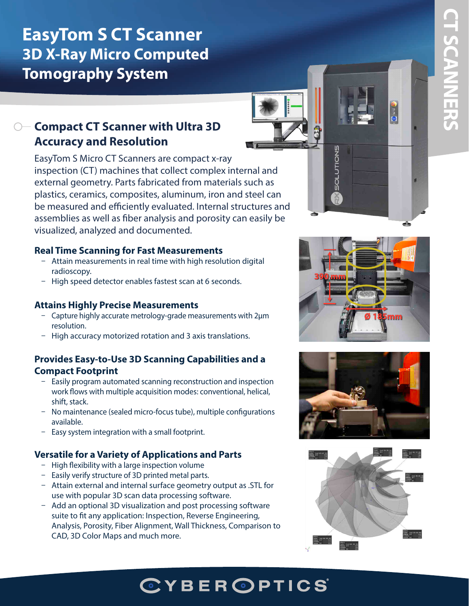# **EasyTom S CT Scanner 3D X-Ray Micro Computed Tomography System**

# **Compact CT Scanner with Ultra 3D Accuracy and Resolution**

EasyTom S Micro CT Scanners are compact x-ray inspection (CT) machines that collect complex internal and external geometry. Parts fabricated from materials such as plastics, ceramics, composites, aluminum, iron and steel can be measured and efficiently evaluated. Internal structures and assemblies as well as fiber analysis and porosity can easily be visualized, analyzed and documented.

### **Real Time Scanning for Fast Measurements**

- Attain measurements in real time with high resolution digital radioscopy.
- High speed detector enables fastest scan at 6 seconds.

## **Attains Highly Precise Measurements**

- Capture highly accurate metrology-grade measurements with 2µm resolution.
- High accuracy motorized rotation and 3 axis translations.

## **Provides Easy-to-Use 3D Scanning Capabilities and a Compact Footprint**

- Easily program automated scanning reconstruction and inspection work flows with multiple acquisition modes: conventional, helical, shift, stack.
- No maintenance (sealed micro-focus tube), multiple configurations available.
- $-$  Easy system integration with a small footprint.

## **Versatile for a Variety of Applications and Parts**

- $-$  High flexibility with a large inspection volume
- Easily verify structure of 3D printed metal parts.
- Attain external and internal surface geometry output as .STL for use with popular 3D scan data processing software.
- Add an optional 3D visualization and post processing software suite to fit any application: Inspection, Reverse Engineering, Analysis, Porosity, Fiber Alignment, Wall Thickness, Comparison to CAD, 3D Color Maps and much more.



**SOLUTIONS** 





# **CT SCANNERS CT SCANNERS**

# **CYBEROPTICS**